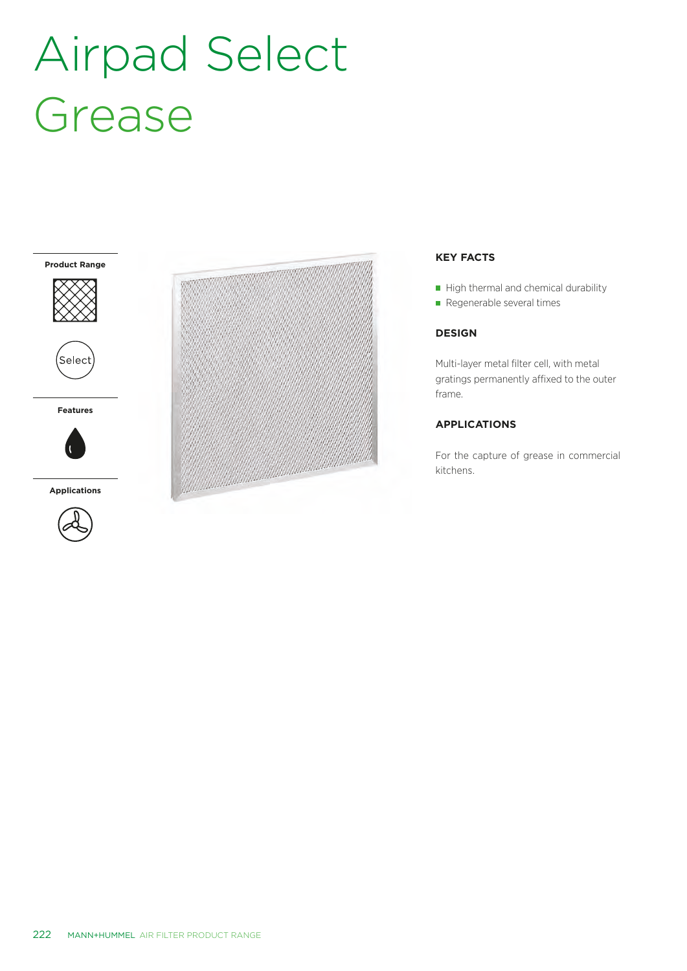## Airpad Select Grease





**Features**



**Applications**





## **KEY FACTS**

 $\blacksquare$  High thermal and chemical durability

Regenerable several times

### **DESIGN**

Multi-layer metal filter cell, with metal gratings permanently affixed to the outer frame.

## **APPLICATIONS**

For the capture of grease in commercial kitchens.